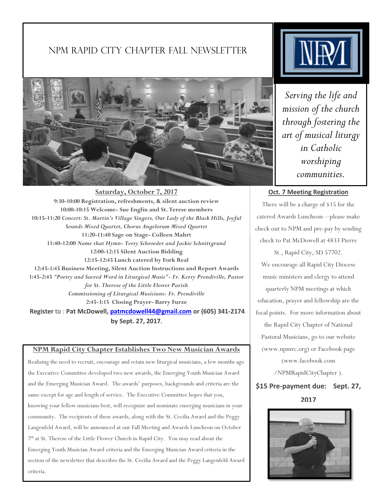# NPM Rapid City CHAPTER Fall newsletter



**Saturday, October 7, 2017 9:30-10:00 Registration, refreshments, & silent auction review 10:00-10:15 Welcome- Sue Englin and St. Terese members 10:15-11:20** *Concert: St. Martin's Village Singers, Our Lady of the Black Hills, Joyful Sounds Mixed Quartet, Chorus Angelorum Mixed Quartet* **11:20-11:40 Sage on Stage- Colleen Mahrt 11:40-12:00** *Name that Hymn- Terry Schroeder and Jackie Schnittgrund* **12:00-12:15 Silent Auction Bidding 12:15-12:45 Lunch catered by Fork Real 12:45-1:45 Business Meeting, Silent Auction Instructions and Report Awards 1:45-2:45** *"Poetry and Sacred Word in Liturgical Music"- Fr. Kerry Prendiville, Pastor for St. Therese of the Little Flower Parish Commissioning of Liturgical Musicians- Fr. Prendiville* **2:45-3:15 Closing Prayer- Barry Furze Register** to : **Pat McDowell, [patmcdowell44@gmail.com](mailto:patmcdowell44@gmail.com) or (605) 341-2174 by Sept. 27, 2017.**

#### **NPM Rapid City Chapter Establishes Two New Musician Awards**

Realizing the need to recruit, encourage and retain new liturgical musicians, a few months ago the Executive Committee developed two new awards, the Emerging Youth Musician Award and the Emerging Musician Award. The awards' purposes, backgrounds and criteria are the same except for age and length of service. The Executive Committee hopes that you, knowing your fellow musicians best, will recognize and nominate emerging musicians in your community. The recipients of these awards, along with the St. Cecilia Award and the Peggy Langenfeld Award, will be announced at our Fall Meeting and Awards Luncheon on October 7 th at St. Therese of the Little Flower Church in Rapid City. You may read about the Emerging Youth Musician Award criteria and the Emerging Musician Award criteria in the section of the newsletter that describes the St. Cecilia Award and the Peggy Langenfeld Award criteria.



*Serving the life and mission of the church through fostering the art of musical liturgy in Catholic worshiping communities.*

## **Oct. 7 Meeting Registration**

There will be a charge of \$15 for the catered Awards Luncheon—please make check out to NPM and pre-pay by sending check to Pat McDowell at 4833 Pierre

St., Rapid City, SD 57702. We encourage all Rapid City Diocese music ministers and clergy to attend quarterly NPM meetings at which education, prayer and fellowship are the focal points. For more information about the Rapid City Chapter of National Pastoral Musicians, go to our website (www.npmrc.org) or Facebook page (www.facebook.com /NPMRapidCityChapter ).

**\$15 Pre-payment due: Sept. 27, 2017**

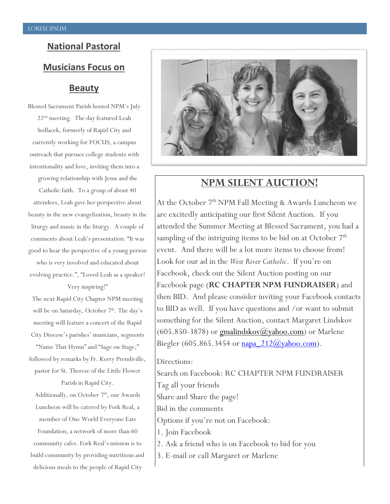# **National Pastoral Musicians Focus on Beauty**

Blessed Sacrament Parish hosted NPM's July 22<sup>nd</sup> meeting. The day featured Leah Sedlacek, formerly of Rapid City and currently working for FOCUS, a campus outreach that pursues college students with intentionality and love, inviting them into a growing relationship with Jesus and the Catholic faith. To a group of about 40 attendees, Leah gave her perspective about beauty in the new evangelization, beauty in the liturgy and music in the liturgy. A couple of comments about Leah's presentation: "It was good to hear the perspective of a young person who is very involved and educated about evolving practice.", "Loved Leah as a speaker!

Very inspiring!"

The next Rapid City Chapter NPM meeting will be on Saturday, October 7<sup>th</sup>. The day's meeting will feature a concert of the Rapid City Diocese's parishes' musicians, segments

"Name That Hymn" and "Sage on Stage," followed by remarks by Fr. Kerry Prendiville, pastor for St. Therese of the Little Flower Parish in Rapid City.

Additionally, on October 7<sup>th</sup>, our Awards Luncheon will be catered by Fork Real, a member of One World Everyone Eats Foundation, a network of more than 60 community cafes. Fork Real's mission is to build community by providing nutritious and delicious meals to the people of Rapid City



# **NPM SILENT AUCTION!**

At the October 7<sup>th</sup> NPM Fall Meeting & Awards Luncheon we are excitedly anticipating our first Silent Auction. If you attended the Summer Meeting at Blessed Sacrament, you had a sampling of the intriguing items to be bid on at October 7<sup>th</sup> event. And there will be a lot more items to choose from! Look for our ad in the *West River Catholic*. If you're on Facebook, check out the Silent Auction posting on our Facebook page (**RC CHAPTER NPM FUNDRAISER**) and then BID. And please consider inviting your Facebook contacts to BID as well. If you have questions and /or want to submit something for the Silent Auction, contact Margaret Lindskov  $(605.850-3878)$  or  $gmalindskov(*Q*)<sub>Y</sub>ahoo.com)$  or Marlene</u> Biegler (605.865.3454 or  $napa$  212 $(\omega$ yahoo.com).

### Directions:

Search on Facebook: RC CHAPTER NPM FUNDRAISER Tag all your friends Share and Share the page! Bid in the comments Options if you're not on Facebook: 1. Join Facebook 2. Ask a friend who is on Facebook to bid for you 3. E-mail or call Margaret or Marlene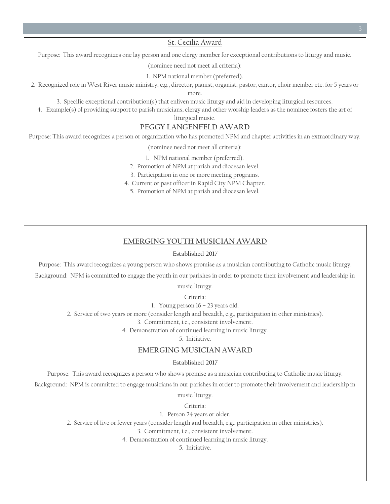St. Cecilia Award

Purpose: This award recognizes one lay person and one clergy member for exceptional contributions to liturgy and music.

(nominee need not meet all criteria):

1. NPM national member (preferred).

2. Recognized role in West River music ministry, e.g., director, pianist, organist, pastor, cantor, choir member etc. for 5 years or

more.

3. Specific exceptional contribution(s) that enliven music liturgy and aid in developing liturgical resources.

4. Example(s) of providing support to parish musicians, clergy and other worship leaders as the nominee fosters the art of

liturgical music.

#### **PEGGY LANGENFELD AWARD**

Purpose: This award recognizes a person or organization who has promoted NPM and chapter activities in an extraordinary way.

(nominee need not meet all criteria):

1. NPM national member (preferred).

2. Promotion of NPM at parish and diocesan level.

3. Participation in one or more meeting programs.

4. Current or past officer in Rapid City NPM Chapter.

5. Promotion of NPM at parish and diocesan level.

## **EMERGING YOUTH MUSICIAN AWARD**

#### **Established 2017**

Purpose: This award recognizes a young person who shows promise as a musician contributing to Catholic music liturgy.

Background: NPM is committed to engage the youth in our parishes in order to promote their involvement and leadership in

music liturgy.

Criteria:

1. Young person 16 – 23 years old.

2. Service of two years or more (consider length and breadth, e.g., participation in other ministries).

3. Commitment, i.e., consistent involvement.

4. Demonstration of continued learning in music liturgy.

5. Initiative.

## **EMERGING MUSICIAN AWARD**

#### **Established 2017**

Purpose: This award recognizes a person who shows promise as a musician contributing to Catholic music liturgy.

Background: NPM is committed to engage musicians in our parishes in order to promote their involvement and leadership in

music liturgy.

Criteria:

1. Person 24 years or older.

2. Service of five or fewer years (consider length and breadth, e.g., participation in other ministries).

3. Commitment, i.e., consistent involvement.

4. Demonstration of continued learning in music liturgy.

5. Initiative.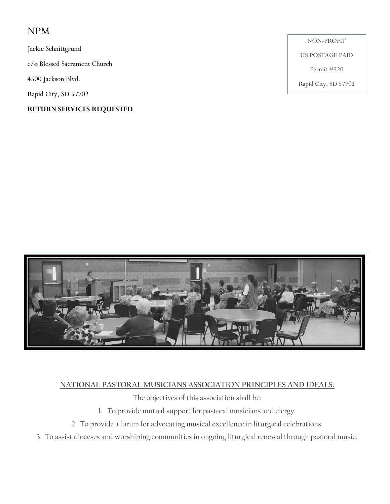# NPM

Jackie Schnittgrund

c/o Blessed Sacrament Church

4500 Jackson Blvd.

Rapid City, SD 57702

# **RETURN SERVICES REQUESTED**

NON-PROFIT

US POSTAGE PAID

Permit #520

Rapid City, SD 57702



# **NATIONAL PASTORAL MUSICIANS ASSOCIATION PRINCIPLES AND IDEALS:**

The objectives of this association shall be:

- 1. To provide mutual support for pastoral musicians and clergy.
- 2. To provide a forum for advocating musical excellence in liturgical celebrations.
- 3. To assist dioceses and worshiping communities in ongoing liturgical renewal through pastoral music.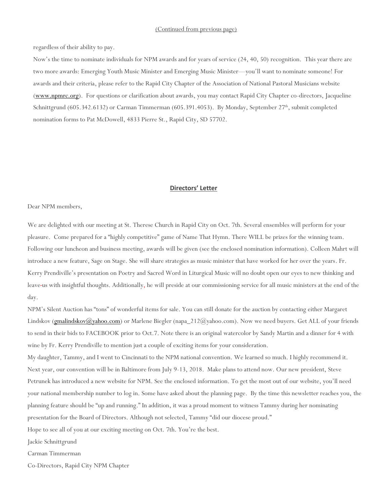regardless of their ability to pay.

Now's the time to nominate individuals for NPM awards and for years of service (24, 40, 50) recognition. This year there are two more awards: Emerging Youth Music Minister and Emerging Music Minister—you'll want to nominate someone! For awards and their criteria, please refer to the Rapid City Chapter of the Association of National Pastoral Musicians website [\(www.npmrc.org\)](http://www.npmrc.org/). For questions or clarification about awards, you may contact Rapid City Chapter co-directors, Jacqueline Schnittgrund (605.342.6132) or Carman Timmerman (605.391.4053). By Monday, September 27<sup>th</sup>, submit completed nomination forms to Pat McDowell, 4833 Pierre St., Rapid City, SD 57702.

#### **Directors' Letter**

#### Dear NPM members,

We are delighted with our meeting at St. Therese Church in Rapid City on Oct. 7th. Several ensembles will perform for your pleasure. Come prepared for a "highly competitive" game of Name That Hymn. There WILL be prizes for the winning team. Following our luncheon and business meeting, awards will be given (see the enclosed nomination information). Colleen Mahrt will introduce a new feature, Sage on Stage. She will share strategies as music minister that have worked for her over the years. Fr. Kerry Prendiville's presentation on Poetry and Sacred Word in Liturgical Music will no doubt open our eyes to new thinking and leave us with insightful thoughts. Additionally, he will preside at our commissioning service for all music ministers at the end of the day.

NPM's Silent Auction has "tons" of wonderful items for sale. You can still donate for the auction by contacting either Margaret Lindskov [\(gmalindskov@yahoo.com\)](mailto:gmalindskov@yahoo.com) or Marlene Biegler (napa\_212@yahoo.com). Now we need buyers. Get ALL of your friends to send in their bids to FACEBOOK prior to Oct.7. Note there is an original watercolor by Sandy Martin and a dinner for 4 with wine by Fr. Kerry Prendiville to mention just a couple of exciting items for your consideration. My daughter, Tammy, and I went to Cincinnati to the NPM national convention. We learned so much. I highly recommend it.

Next year, our convention will be in Baltimore from July 9-13, 2018. Make plans to attend now. Our new president, Steve Petrunek has introduced a new website for NPM. See the enclosed information. To get the most out of our website, you'll need your national membership number to log in. Some have asked about the planning page. By the time this newsletter reaches you, the planning feature should be "up and running." In addition, it was a proud moment to witness Tammy during her nominating presentation for the Board of Directors. Although not selected, Tammy "did our diocese proud."

Hope to see all of you at our exciting meeting on Oct. 7th. You're the best.

Jackie Schnittgrund

Carman Timmerman

Co-Directors, Rapid City NPM Chapter